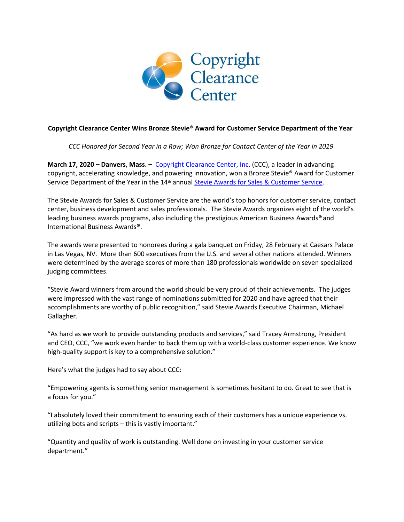

## **Copyright Clearance Center Wins Bronze Stevie® Award for Customer Service Department of the Year**

*CCC Honored for Second Year in a Row; Won Bronze for Contact Center of the Year in 2019*

**March 17, 2020 – Danvers, Mass. –** [Copyright Clearance Center, Inc.](http://www.copyright.com/) (CCC), a leader in advancing copyright, accelerating knowledge, and powering innovation, won a Bronze Stevie® Award for Customer Service Department of the Year in the 14<sup>th</sup> annua[l Stevie Awards for Sales & Customer Service.](https://stevieawards.com/sales)

The Stevie Awards for Sales & Customer Service are the world's top honors for customer service, contact center, business development and sales professionals. The Stevie Awards organizes eight of the world's leading business awards programs, also including the prestigious American Business Awards**®**and International Business Awards**®**.

The awards were presented to honorees during a gala banquet on Friday, 28 February at Caesars Palace in Las Vegas, NV. More than 600 executives from the U.S. and several other nations attended. Winners were determined by the average scores of more than 180 professionals worldwide on seven specialized judging committees.

"Stevie Award winners from around the world should be very proud of their achievements. The judges were impressed with the vast range of nominations submitted for 2020 and have agreed that their accomplishments are worthy of public recognition," said Stevie Awards Executive Chairman, Michael Gallagher.

"As hard as we work to provide outstanding products and services," said Tracey Armstrong, President and CEO, CCC, "we work even harder to back them up with a world-class customer experience. We know high-quality support is key to a comprehensive solution."

Here's what the judges had to say about CCC:

"Empowering agents is something senior management is sometimes hesitant to do. Great to see that is a focus for you."

"I absolutely loved their commitment to ensuring each of their customers has a unique experience vs. utilizing bots and scripts – this is vastly important."

"Quantity and quality of work is outstanding. Well done on investing in your customer service department."